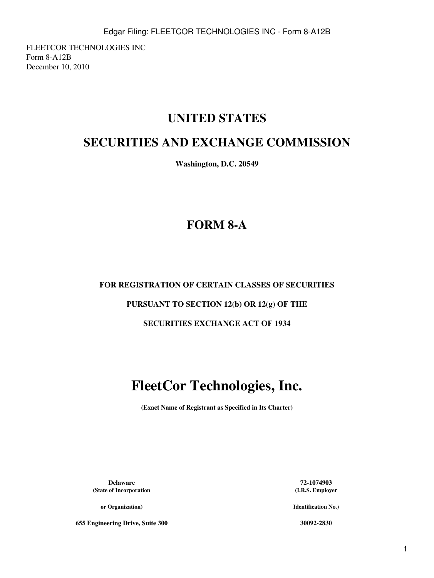FLEETCOR TECHNOLOGIES INC Form 8-A12B December 10, 2010

# **UNITED STATES**

## **SECURITIES AND EXCHANGE COMMISSION**

**Washington, D.C. 20549**

# **FORM 8-A**

## **FOR REGISTRATION OF CERTAIN CLASSES OF SECURITIES**

## **PURSUANT TO SECTION 12(b) OR 12(g) OF THE**

## **SECURITIES EXCHANGE ACT OF 1934**

# **FleetCor Technologies, Inc.**

**(Exact Name of Registrant as Specified in Its Charter)**

**Delaware 72-1074903 (State of Incorporation**

**or Organization)**

**655 Engineering Drive, Suite 300 30092-2830**

**(I.R.S. Employer**

**Identification No.)**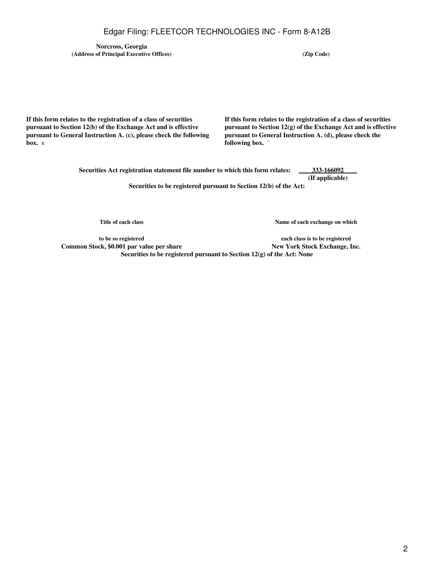### Edgar Filing: FLEETCOR TECHNOLOGIES INC - Form 8-A12B

**Norcross, Georgia (Address of Principal Executive Offices) (Zip Code)**

**If this form relates to the registration of a class of securities pursuant to Section 12(b) of the Exchange Act and is effective pursuant to General Instruction A. (c), please check the following box.** x

**If this form relates to the registration of a class of securities pursuant to Section 12(g) of the Exchange Act and is effective pursuant to General Instruction A. (d), please check the following box.** ¨

**Securities Act registration statement file number to which this form relates: 333-166092 (If applicable) Securities to be registered pursuant to Section 12(b) of the Act:**

**Title of each class**

**Name of each exchange on which**

**to be so registered Common Stock, \$0.001 par value per share New York Stock Exchange, Inc. Securities to be registered pursuant to Section 12(g) of the Act: None**

**each class is to be registered**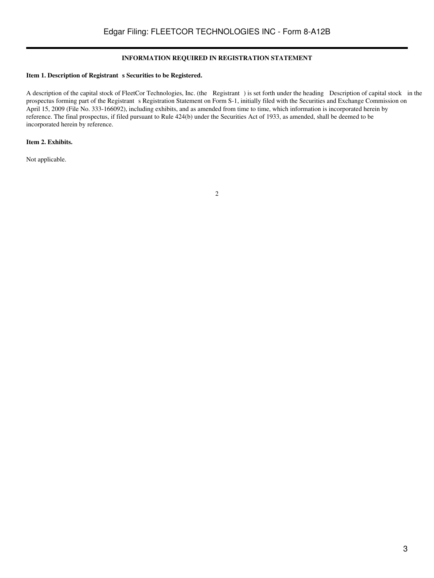### **INFORMATION REQUIRED IN REGISTRATION STATEMENT**

### Item 1. Description of Registrant s Securities to be Registered.

A description of the capital stock of FleetCor Technologies, Inc. (the Registrant) is set forth under the heading Description of capital stock in the prospectus forming part of the Registrant s Registration Statement on Form S-1, initially filed with the Securities and Exchange Commission on April 15, 2009 (File No. 333-166092), including exhibits, and as amended from time to time, which information is incorporated herein by reference. The final prospectus, if filed pursuant to Rule 424(b) under the Securities Act of 1933, as amended, shall be deemed to be incorporated herein by reference.

### **Item 2. Exhibits.**

Not applicable.

2